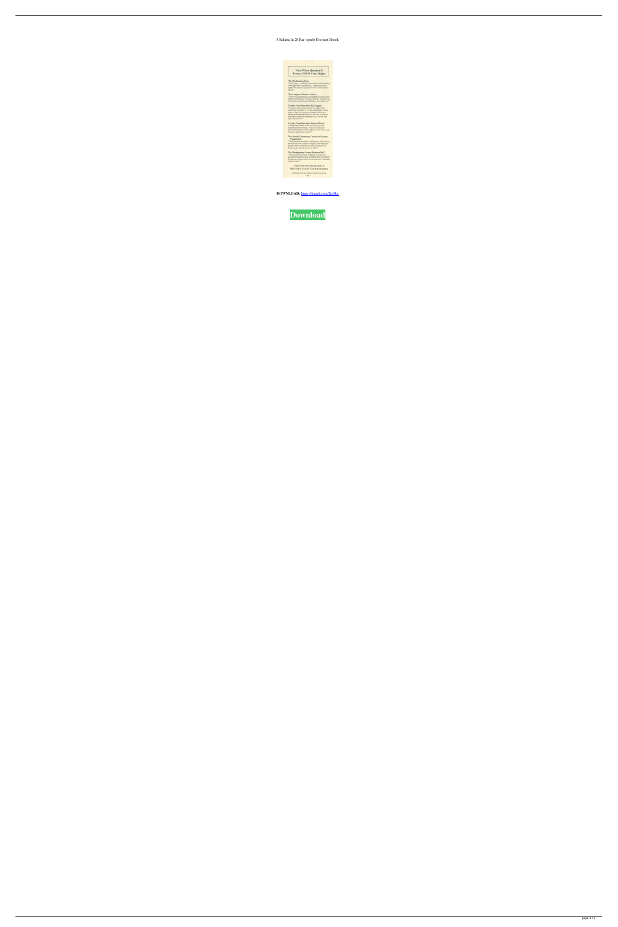## 5 Kalima In 28 Rar (epub) Utorrent Ebook

 $\mathcal{A}$ Vote NO on Question C<br>Protect YOUR Voter Rights

The Washington Post:<br>"Term limits ... arbitrarily bar incumbents from seeking<br>voter approval for good service. Voters should vote<br>against the measure and preserve their own freedom to<br>decide,"

The League of Women Voters:<br>
"Term limits can decrease accountability and reduce the<br>
effective performance of elected officials. The best way<br>
to limit the term of elected officials is at the ballot box."

**County Councilmember Ike Leggett:**<br>"Contrary to the claims of those who support this<br>amendment, Question C will not end gridlock, reduce<br>taxes, or lead to the election of people with diverse<br>beckgrounds and experiences.

**County Councilmember Howard Denis:**<br>"Montgomery County voters are among the most<br>sophisticated in the nation. They do not need any<br>artificial limitations on their right to vote for the County<br>Executive and County Council.

The Jewish Community Council of Greater<br>Washington:<br>"Tem limits are unhealthy for democracy. They remove<br>the decision of who merits re-election from voters and<br>instead create an arbitrary and artificial standard for<br>decid

The Montgomery County Business PAC:<br>"The business community is opposed to Question C<br>because term limits will do only thing: they will prohibit<br>Montgomery County citizens from voting for candidates<br>of their choice."

VOTE NO ON QUESTION C<br>PROTECT YOUR VOTER RIGHTS Authorized by Fred Evans, Treasurer, Citizens for Voter Choice  $\label{eq:3.1} \bullet \iff \quad$ 

DOWNLOAD: https://tinurli.com/2in5ky